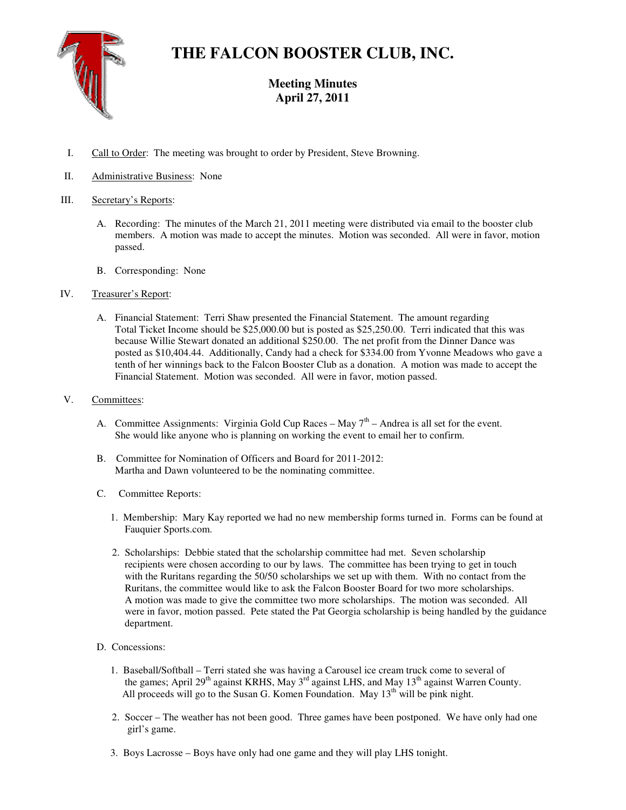

# **THE FALCON BOOSTER CLUB, INC.**

# **Meeting Minutes April 27, 2011**

- I. Call to Order: The meeting was brought to order by President, Steve Browning.
- II. Administrative Business: None

## III. Secretary's Reports:

- A. Recording: The minutes of the March 21, 2011 meeting were distributed via email to the booster club members. A motion was made to accept the minutes. Motion was seconded. All were in favor, motion passed.
- B. Corresponding: None

# IV. Treasurer's Report:

A. Financial Statement: Terri Shaw presented the Financial Statement. The amount regarding Total Ticket Income should be \$25,000.00 but is posted as \$25,250.00. Terri indicated that this was because Willie Stewart donated an additional \$250.00. The net profit from the Dinner Dance was posted as \$10,404.44. Additionally, Candy had a check for \$334.00 from Yvonne Meadows who gave a tenth of her winnings back to the Falcon Booster Club as a donation. A motion was made to accept the Financial Statement. Motion was seconded. All were in favor, motion passed.

### V. Committees:

- A. Committee Assignments: Virginia Gold Cup Races May  $7<sup>th</sup>$  Andrea is all set for the event. She would like anyone who is planning on working the event to email her to confirm.
- B. Committee for Nomination of Officers and Board for 2011-2012: Martha and Dawn volunteered to be the nominating committee.
- C. Committee Reports:
	- 1. Membership: Mary Kay reported we had no new membership forms turned in. Forms can be found at Fauquier Sports.com.
	- 2. Scholarships: Debbie stated that the scholarship committee had met. Seven scholarship recipients were chosen according to our by laws. The committee has been trying to get in touch with the Ruritans regarding the 50/50 scholarships we set up with them. With no contact from the Ruritans, the committee would like to ask the Falcon Booster Board for two more scholarships. A motion was made to give the committee two more scholarships. The motion was seconded. All were in favor, motion passed. Pete stated the Pat Georgia scholarship is being handled by the guidance department.
- D. Concessions:
	- 1. Baseball/Softball Terri stated she was having a Carousel ice cream truck come to several of the games; April 29<sup>th</sup> against KRHS, May 3<sup>rd</sup> against LHS, and May 13<sup>th</sup> against Warren County. All proceeds will go to the Susan G. Komen Foundation. May  $13<sup>th</sup>$  will be pink night.
	- 2. Soccer The weather has not been good. Three games have been postponed. We have only had one girl's game.
	- 3. Boys Lacrosse Boys have only had one game and they will play LHS tonight.